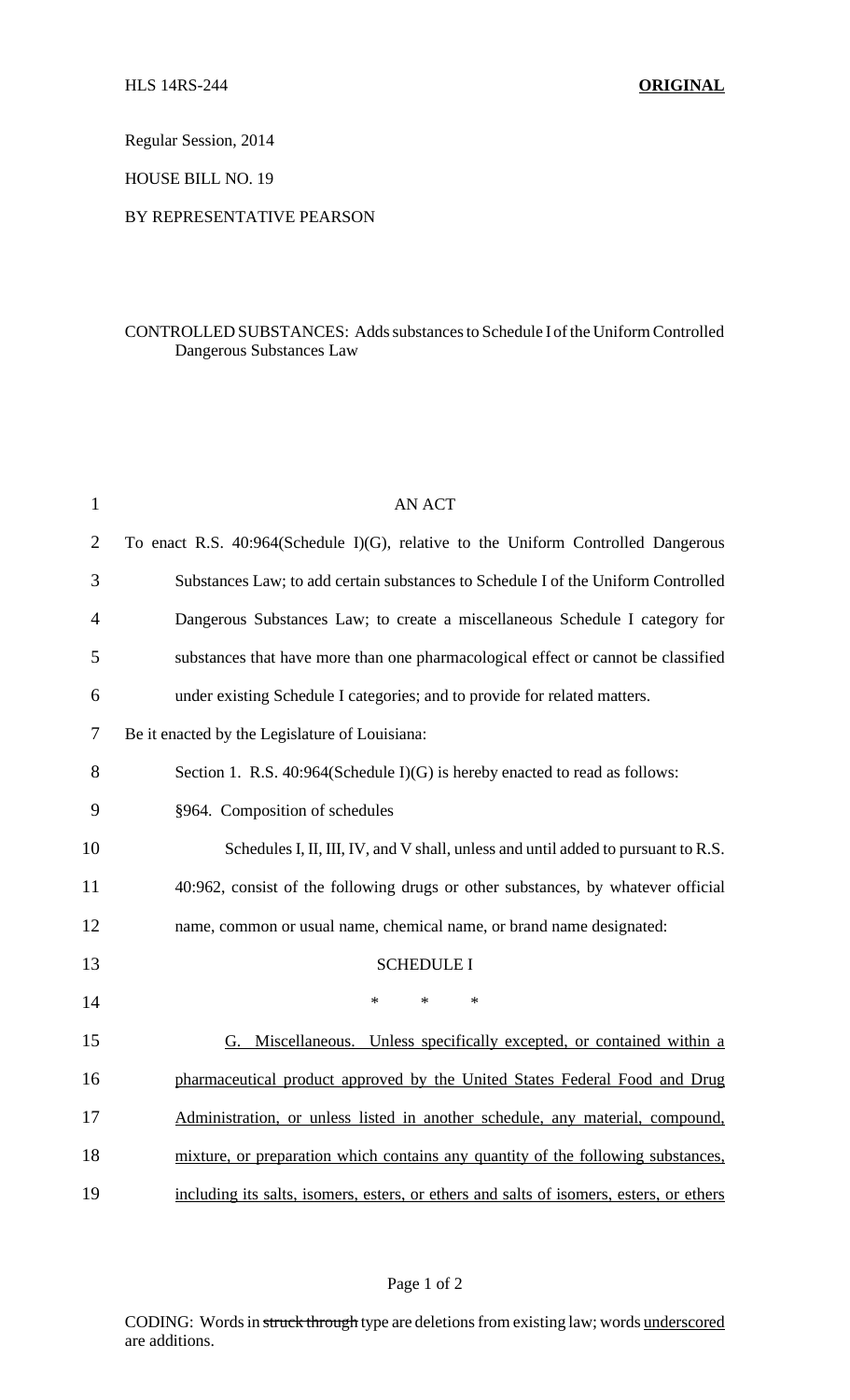Regular Session, 2014

HOUSE BILL NO. 19

## BY REPRESENTATIVE PEARSON

## CONTROLLED SUBSTANCES: Adds substances to Schedule I of the Uniform Controlled Dangerous Substances Law

| $\mathbf{1}$   | <b>AN ACT</b>                                                                           |
|----------------|-----------------------------------------------------------------------------------------|
| $\overline{2}$ | To enact R.S. 40:964(Schedule I)(G), relative to the Uniform Controlled Dangerous       |
| 3              | Substances Law; to add certain substances to Schedule I of the Uniform Controlled       |
| $\overline{4}$ | Dangerous Substances Law; to create a miscellaneous Schedule I category for             |
| 5              | substances that have more than one pharmacological effect or cannot be classified       |
| 6              | under existing Schedule I categories; and to provide for related matters.               |
| 7              | Be it enacted by the Legislature of Louisiana:                                          |
| 8              | Section 1. R.S. 40:964(Schedule I)(G) is hereby enacted to read as follows:             |
| 9              | §964. Composition of schedules                                                          |
| 10             | Schedules I, II, III, IV, and V shall, unless and until added to pursuant to R.S.       |
| 11             | 40:962, consist of the following drugs or other substances, by whatever official        |
| 12             | name, common or usual name, chemical name, or brand name designated:                    |
| 13             | <b>SCHEDULE I</b>                                                                       |
| 14             | $\ast$<br>$\ast$<br>$\ast$                                                              |
| 15             | G. Miscellaneous. Unless specifically excepted, or contained within a                   |
| 16             | pharmaceutical product approved by the United States Federal Food and Drug              |
| 17             | Administration, or unless listed in another schedule, any material, compound,           |
| 18             | mixture, or preparation which contains any quantity of the following substances,        |
| 19             | including its salts, isomers, esters, or ethers and salts of isomers, esters, or ethers |

## Page 1 of 2

CODING: Words in struck through type are deletions from existing law; words underscored are additions.